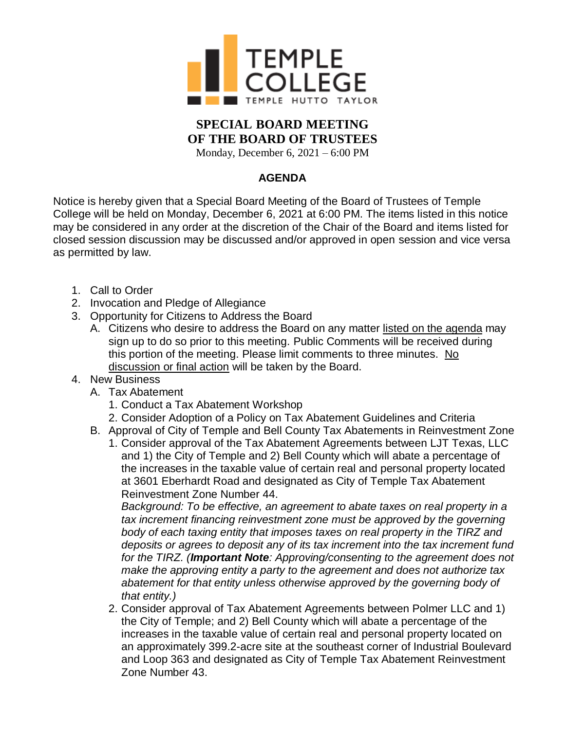

## **SPECIAL BOARD MEETING OF THE BOARD OF TRUSTEES**

Monday, December 6, 2021 – 6:00 PM

## **AGENDA**

Notice is hereby given that a Special Board Meeting of the Board of Trustees of Temple College will be held on Monday, December 6, 2021 at 6:00 PM. The items listed in this notice may be considered in any order at the discretion of the Chair of the Board and items listed for closed session discussion may be discussed and/or approved in open session and vice versa as permitted by law.

- 1. Call to Order
- 2. Invocation and Pledge of Allegiance
- 3. Opportunity for Citizens to Address the Board
	- A. Citizens who desire to address the Board on any matter listed on the agenda may sign up to do so prior to this meeting. Public Comments will be received during this portion of the meeting. Please limit comments to three minutes. No discussion or final action will be taken by the Board.
- 4. New Business
	- A. Tax Abatement
		- 1. Conduct a Tax Abatement Workshop
		- 2. Consider Adoption of a Policy on Tax Abatement Guidelines and Criteria
	- B. Approval of City of Temple and Bell County Tax Abatements in Reinvestment Zone
		- 1. Consider approval of the Tax Abatement Agreements between LJT Texas, LLC and 1) the City of Temple and 2) Bell County which will abate a percentage of the increases in the taxable value of certain real and personal property located at 3601 Eberhardt Road and designated as City of Temple Tax Abatement Reinvestment Zone Number 44.

*Background: To be effective, an agreement to abate taxes on real property in a* tax increment financing reinvestment zone must be approved by the governing *body of each taxing entity that imposes taxes on real property in the TIRZ and deposits or agrees to deposit any of its tax increment into the tax increment fund for the TIRZ. (Important Note: Approving/consenting to the agreement does not make the approving entity a party to the agreement and does not authorize tax abatement for that entity unless otherwise approved by the governing body of that entity.)*

2. Consider approval of Tax Abatement Agreements between Polmer LLC and 1) the City of Temple; and 2) Bell County which will abate a percentage of the increases in the taxable value of certain real and personal property located on an approximately 399.2-acre site at the southeast corner of Industrial Boulevard and Loop 363 and designated as City of Temple Tax Abatement Reinvestment Zone Number 43.